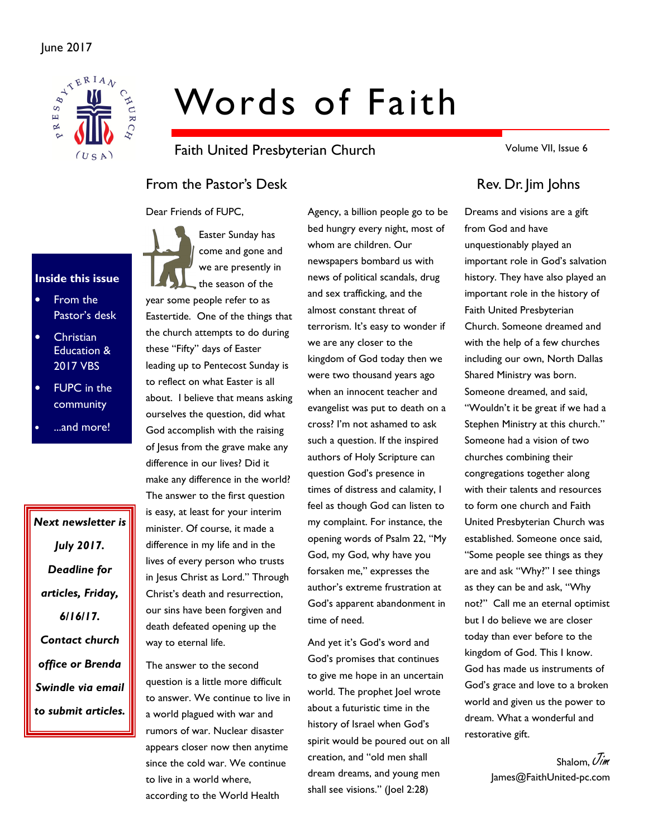

# Words of Faith

Faith United Presbyterian Church

Volume VII, Issue 6

# From the Pastor's Desk Rev. Dr. Jim Johns

Dear Friends of FUPC,

#### Inside this issue

- From the Pastor's desk
- **Christian** Education & 2017 VBS
- FUPC in the community
- ...and more!

Next newsletter is July 2017. Deadline for articles, Friday, 6/16/17. Contact church office or Brenda Swindle via email to submit articles.

Easter Sunday has come and gone and we are presently in the season of the year some people refer to as Eastertide. One of the things that the church attempts to do during these "Fifty" days of Easter leading up to Pentecost Sunday is to reflect on what Easter is all about. I believe that means asking ourselves the question, did what God accomplish with the raising of Jesus from the grave make any difference in our lives? Did it make any difference in the world? The answer to the first question is easy, at least for your interim minister. Of course, it made a difference in my life and in the lives of every person who trusts in Jesus Christ as Lord." Through Christ's death and resurrection, our sins have been forgiven and death defeated opening up the way to eternal life.

The answer to the second question is a little more difficult to answer. We continue to live in a world plagued with war and rumors of war. Nuclear disaster appears closer now then anytime since the cold war. We continue to live in a world where, according to the World Health

Agency, a billion people go to be bed hungry every night, most of whom are children. Our newspapers bombard us with news of political scandals, drug and sex trafficking, and the almost constant threat of terrorism. It's easy to wonder if we are any closer to the kingdom of God today then we were two thousand years ago when an innocent teacher and evangelist was put to death on a cross? I'm not ashamed to ask such a question. If the inspired authors of Holy Scripture can question God's presence in times of distress and calamity, I feel as though God can listen to my complaint. For instance, the opening words of Psalm 22, "My God, my God, why have you forsaken me," expresses the author's extreme frustration at God's apparent abandonment in time of need.

And yet it's God's word and God's promises that continues to give me hope in an uncertain world. The prophet Joel wrote about a futuristic time in the history of Israel when God's spirit would be poured out on all creation, and "old men shall dream dreams, and young men shall see visions." (Joel 2:28)

Dreams and visions are a gift from God and have unquestionably played an important role in God's salvation history. They have also played an important role in the history of Faith United Presbyterian Church. Someone dreamed and with the help of a few churches including our own, North Dallas Shared Ministry was born. Someone dreamed, and said, "Wouldn't it be great if we had a Stephen Ministry at this church." Someone had a vision of two churches combining their congregations together along with their talents and resources to form one church and Faith United Presbyterian Church was established. Someone once said, "Some people see things as they are and ask "Why?" I see things as they can be and ask, "Why not?" Call me an eternal optimist but I do believe we are closer today than ever before to the kingdom of God. This I know. God has made us instruments of God's grace and love to a broken world and given us the power to dream. What a wonderful and restorative gift.

> Shalom,  $\mathcal{U}$ im James@FaithUnited-pc.com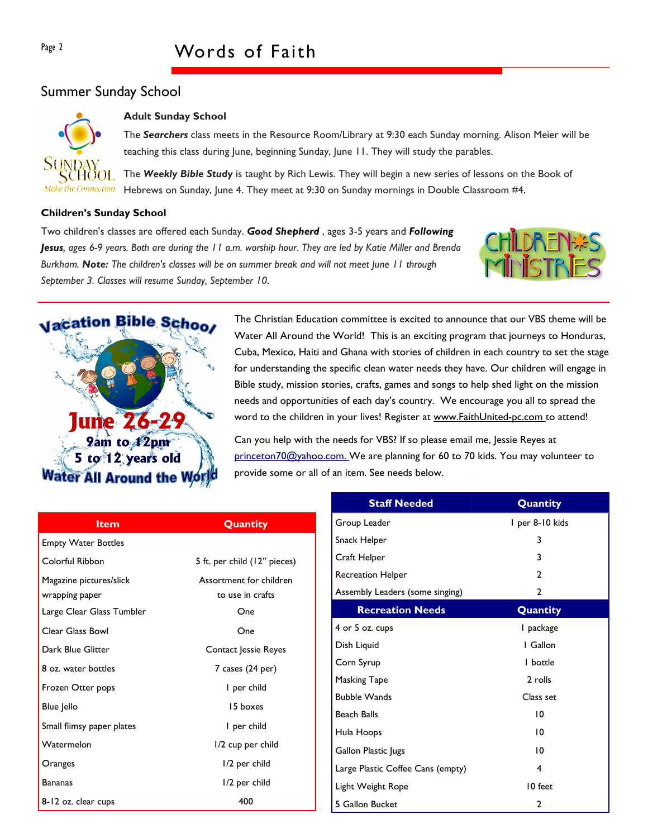## Summer Sunday School



#### Adult Sunday School

The Searchers class meets in the Resource Room/Library at 9:30 each Sunday morning. Alison Meier will be teaching this class during June, beginning Sunday, June 11. They will study the parables.

The Weekly Bible Study is taught by Rich Lewis. They will begin a new series of lessons on the Book of Hebrews on Sunday, June 4. They meet at 9:30 on Sunday mornings in Double Classroom #4.

#### Children's Sunday School

Two children's classes are offered each Sunday. Good Shepherd, ages 3-5 years and Following Jesus, ages 6-9 years. Both are during the 11 a.m. worship hour. They are led by Katie Miller and Brenda Burkham. Note: The children's classes will be on summer break and will not meet lune 11 through September 3. Classes will resume Sunday, September 10.





The Christian Education committee is excited to announce that our VBS theme will be Water All Around the World! This is an exciting program that journeys to Honduras, Cuba, Mexico, Haiti and Ghana with stories of children in each country to set the stage for understanding the specific clean water needs they have. Our children will engage in Bible study, mission stories, crafts, games and songs to help shed light on the mission needs and opportunities of each day's country. We encourage you all to spread the word to the children in your lives! Register at www.FaithUnited-pc.com to attend!

Can you help with the needs for VBS? If so please email me, Jessie Reyes at princeton70@yahoo.com. We are planning for 60 to 70 kids. You may volunteer to provide some or all of an item. See needs below.

|                            |                                | <b>Staff Needed</b>               | Quantity        |
|----------------------------|--------------------------------|-----------------------------------|-----------------|
| <b>Item</b>                | Quantity                       | Group Leader                      | I per 8-10 kids |
| <b>Empty Water Bottles</b> |                                | Snack Helper                      | 3               |
| Colorful Ribbon            | 5 ft. per child (12" pieces)   | Craft Helper                      |                 |
| Magazine pictures/slick    | Assortment for children        | Recreation Helper                 | 2               |
| wrapping paper             | to use in crafts               | Assembly Leaders (some singing)   | 2               |
| Large Clear Glass Tumbler  | <b>Recreation Needs</b><br>One |                                   | Quantity        |
| Clear Glass Bowl           | One                            | 4 or 5 oz. cups                   | l package       |
| Dark Blue Glitter          | Contact Jessie Reyes           | Dish Liquid                       | I Gallon        |
| 8 oz. water bottles        | $7$ cases $(24$ per)           | Corn Syrup                        | I bottle        |
| Frozen Otter pops          | I per child                    | Masking Tape                      | 2 rolls         |
|                            |                                | <b>Bubble Wands</b>               | Class set       |
| Blue Jello                 | 15 boxes                       | <b>Beach Balls</b>                | $\overline{10}$ |
| Small flimsy paper plates  | I per child                    | Hula Hoops                        | $\overline{10}$ |
| Watermelon                 | 1/2 cup per child              | Gallon Plastic Jugs               | 10              |
| Oranges                    | I/2 per child                  | Large Plastic Coffee Cans (empty) | $\overline{4}$  |
| <b>Bananas</b>             | I/2 per child                  | Light Weight Rope                 | 10 feet         |
| 8-12 oz. clear cups        | 400                            | 5 Gallon Bucket                   | $\overline{2}$  |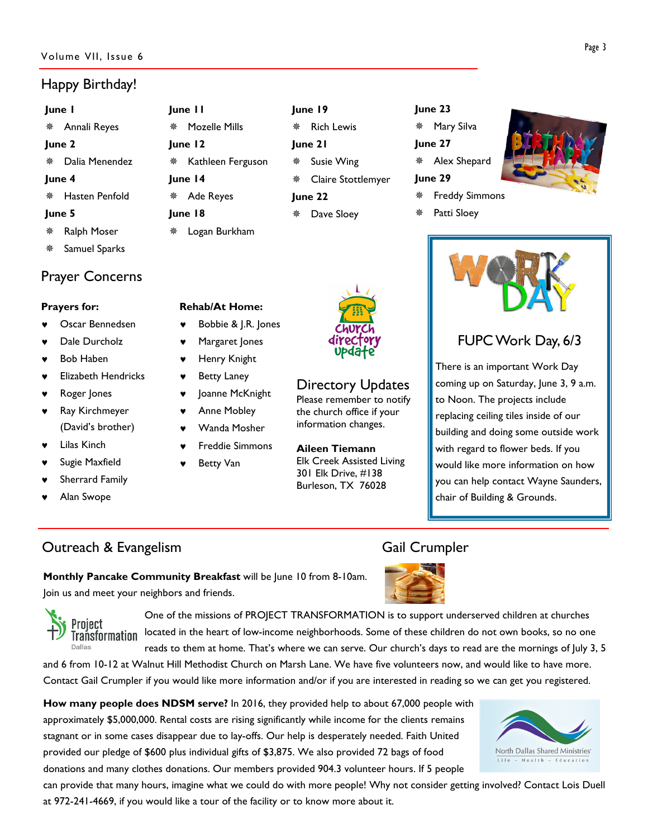#### Volume VII, Issue 6

# Happy Birthday!

| June I |                                   |  |  |  |
|--------|-----------------------------------|--|--|--|
|        | <i></i> <del>≢</del> Annali Reyes |  |  |  |
| June 2 |                                   |  |  |  |
|        | * Dalia Menendez                  |  |  |  |
| June 4 |                                   |  |  |  |
|        | ※ Hasten Penfold                  |  |  |  |
| June 5 |                                   |  |  |  |
| ※ -    | Ralph Moser                       |  |  |  |

Samuel Sparks

## Prayer Concerns

#### Prayers for:

- Oscar Bennedsen
- Dale Durcholz
- **Bob Haben**
- **Elizabeth Hendricks**
- Roger Jones
- ♥ Ray Kirchmeyer (David's brother)
- Lilas Kinch
- Sugie Maxfield
- Sherrard Family

Project

Dallas

Alan Swope

Logan Burkham

June 11

June 12

June 14

June 18

Mozelle Mills

Ade Reyes

Kathleen Ferguson

- Rehab/At Home: Bobbie & J.R. Jones
- Margaret Jones
- **Henry Knight**
- ♥ Betty Laney
- Joanne McKnight
- Anne Mobley
- Wanda Mosher
- **Freddie Simmons**
- Betty Van



June 19

June 21

June 22

**※ Rich Lewis** 

Susie Wing

Dave Sloey

Claire Stottlemyer

# Directory Updates

information changes.

Please remember to notify the church office if your

Aileen Tiemann Elk Creek Assisted Living 301 Elk Drive, #138 Burleson, TX 76028

#### June 23

Mary Silva

- June 27
- Alex Shepard

#### June 29



Patti Sloey





# FUPC Work Day, 6/3

There is an important Work Day coming up on Saturday, June 3, 9 a.m. to Noon. The projects include replacing ceiling tiles inside of our building and doing some outside work with regard to flower beds. If you would like more information on how you can help contact Wayne Saunders, chair of Building & Grounds.

# **Outreach & Evangelism** Gail Crumpler



Monthly Pancake Community Breakfast will be June 10 from 8-10am. Join us and meet your neighbors and friends.

One of the missions of PROJECT TRANSFORMATION is to support underserved children at churches located in the heart of low-income neighborhoods. Some of these children do not own books, so no one Trańsformation reads to them at home. That's where we can serve. Our church's days to read are the mornings of July 3, 5

and 6 from 10-12 at Walnut Hill Methodist Church on Marsh Lane. We have five volunteers now, and would like to have more. Contact Gail Crumpler if you would like more information and/or if you are interested in reading so we can get you registered.

How many people does NDSM serve? In 2016, they provided help to about 67,000 people with approximately \$5,000,000. Rental costs are rising significantly while income for the clients remains stagnant or in some cases disappear due to lay-offs. Our help is desperately needed. Faith United provided our pledge of \$600 plus individual gifts of \$3,875. We also provided 72 bags of food donations and many clothes donations. Our members provided 904.3 volunteer hours. If 5 people

can provide that many hours, imagine what we could do with more people! Why not consider getting involved? Contact Lois Duell at 972-241-4669, if you would like a tour of the facility or to know more about it.

North Dallas Shared Ministries Life - Health - Education